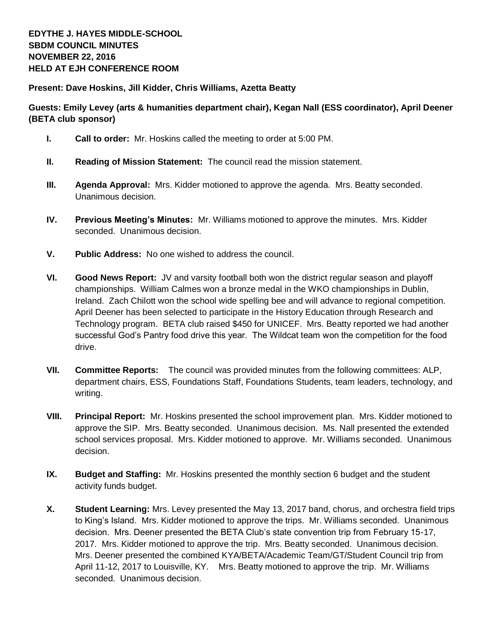**Present: Dave Hoskins, Jill Kidder, Chris Williams, Azetta Beatty**

## **Guests: Emily Levey (arts & humanities department chair), Kegan Nall (ESS coordinator), April Deener (BETA club sponsor)**

- **I. Call to order:** Mr. Hoskins called the meeting to order at 5:00 PM.
- **II. Reading of Mission Statement:** The council read the mission statement.
- **III. Agenda Approval:** Mrs. Kidder motioned to approve the agenda. Mrs. Beatty seconded. Unanimous decision.
- **IV. Previous Meeting's Minutes:** Mr. Williams motioned to approve the minutes. Mrs. Kidder seconded. Unanimous decision.
- **V. Public Address:** No one wished to address the council.
- **VI. Good News Report:** JV and varsity football both won the district regular season and playoff championships. William Calmes won a bronze medal in the WKO championships in Dublin, Ireland. Zach Chilott won the school wide spelling bee and will advance to regional competition. April Deener has been selected to participate in the History Education through Research and Technology program. BETA club raised \$450 for UNICEF. Mrs. Beatty reported we had another successful God's Pantry food drive this year. The Wildcat team won the competition for the food drive.
- **VII. Committee Reports:** The council was provided minutes from the following committees: ALP, department chairs, ESS, Foundations Staff, Foundations Students, team leaders, technology, and writing.
- **VIII. Principal Report:** Mr. Hoskins presented the school improvement plan. Mrs. Kidder motioned to approve the SIP. Mrs. Beatty seconded. Unanimous decision. Ms. Nall presented the extended school services proposal. Mrs. Kidder motioned to approve. Mr. Williams seconded. Unanimous decision.
- **IX. Budget and Staffing:** Mr. Hoskins presented the monthly section 6 budget and the student activity funds budget.
- **X. Student Learning:** Mrs. Levey presented the May 13, 2017 band, chorus, and orchestra field trips to King's Island. Mrs. Kidder motioned to approve the trips. Mr. Williams seconded. Unanimous decision. Mrs. Deener presented the BETA Club's state convention trip from February 15-17, 2017. Mrs. Kidder motioned to approve the trip. Mrs. Beatty seconded. Unanimous decision. Mrs. Deener presented the combined KYA/BETA/Academic Team/GT/Student Council trip from April 11-12, 2017 to Louisville, KY. Mrs. Beatty motioned to approve the trip. Mr. Williams seconded. Unanimous decision.